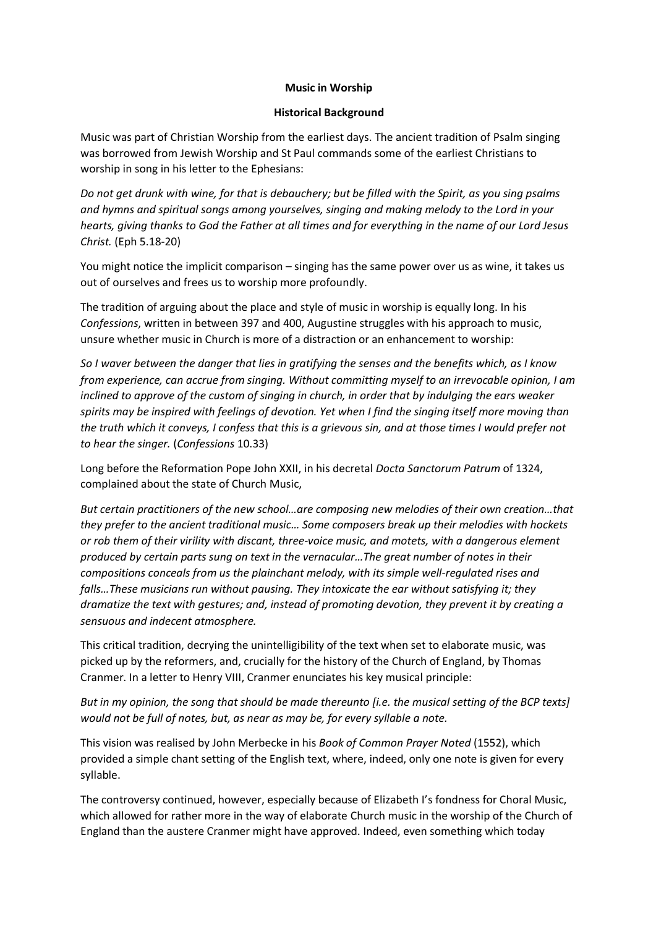### **Music in Worship**

### **Historical Background**

Music was part of Christian Worship from the earliest days. The ancient tradition of Psalm singing was borrowed from Jewish Worship and St Paul commands some of the earliest Christians to worship in song in his letter to the Ephesians:

*Do not get drunk with wine, for that is debauchery; but be filled with the Spirit, as you sing psalms and hymns and spiritual songs among yourselves, singing and making melody to the Lord in your hearts, giving thanks to God the Father at all times and for everything in the name of our Lord Jesus Christ.* (Eph 5.18-20)

You might notice the implicit comparison – singing has the same power over us as wine, it takes us out of ourselves and frees us to worship more profoundly.

The tradition of arguing about the place and style of music in worship is equally long. In his *Confessions*, written in between 397 and 400, Augustine struggles with his approach to music, unsure whether music in Church is more of a distraction or an enhancement to worship:

*So I waver between the danger that lies in gratifying the senses and the benefits which, as I know from experience, can accrue from singing. Without committing myself to an irrevocable opinion, I am inclined to approve of the custom of singing in church, in order that by indulging the ears weaker spirits may be inspired with feelings of devotion. Yet when I find the singing itself more moving than the truth which it conveys, I confess that this is a grievous sin, and at those times I would prefer not to hear the singer.* (*Confessions* 10.33)

Long before the Reformation Pope John XXII, in his decretal *Docta Sanctorum Patrum* of 1324, complained about the state of Church Music,

*But certain practitioners of the new school…are composing new melodies of their own creation…that they prefer to the ancient traditional music… Some composers break up their melodies with hockets or rob them of their virility with discant, three-voice music, and motets, with a dangerous element produced by certain parts sung on text in the vernacular…The great number of notes in their compositions conceals from us the plainchant melody, with its simple well-regulated rises and falls…These musicians run without pausing. They intoxicate the ear without satisfying it; they dramatize the text with gestures; and, instead of promoting devotion, they prevent it by creating a sensuous and indecent atmosphere.*

This critical tradition, decrying the unintelligibility of the text when set to elaborate music, was picked up by the reformers, and, crucially for the history of the Church of England, by Thomas Cranmer. In a letter to Henry VIII, Cranmer enunciates his key musical principle:

*But in my opinion, the song that should be made thereunto [i.e. the musical setting of the BCP texts] would not be full of notes, but, as near as may be, for every syllable a note.*

This vision was realised by John Merbecke in his *Book of Common Prayer Noted* (1552), which provided a simple chant setting of the English text, where, indeed, only one note is given for every syllable.

The controversy continued, however, especially because of Elizabeth I's fondness for Choral Music, which allowed for rather more in the way of elaborate Church music in the worship of the Church of England than the austere Cranmer might have approved. Indeed, even something which today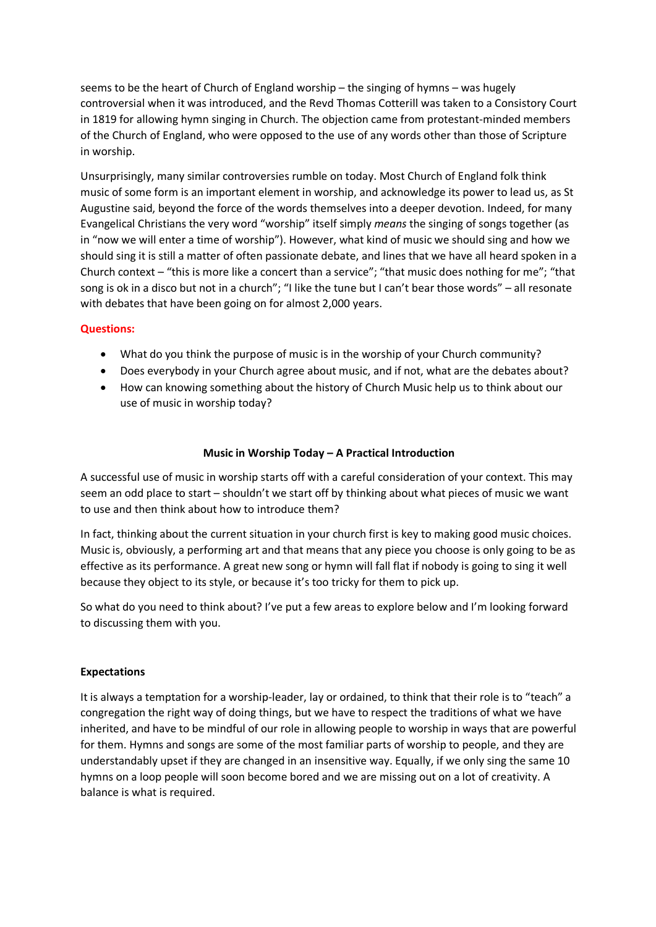seems to be the heart of Church of England worship – the singing of hymns – was hugely controversial when it was introduced, and the Revd Thomas Cotterill was taken to a Consistory Court in 1819 for allowing hymn singing in Church. The objection came from protestant-minded members of the Church of England, who were opposed to the use of any words other than those of Scripture in worship.

Unsurprisingly, many similar controversies rumble on today. Most Church of England folk think music of some form is an important element in worship, and acknowledge its power to lead us, as St Augustine said, beyond the force of the words themselves into a deeper devotion. Indeed, for many Evangelical Christians the very word "worship" itself simply *means* the singing of songs together (as in "now we will enter a time of worship"). However, what kind of music we should sing and how we should sing it is still a matter of often passionate debate, and lines that we have all heard spoken in a Church context – "this is more like a concert than a service"; "that music does nothing for me"; "that song is ok in a disco but not in a church"; "I like the tune but I can't bear those words" – all resonate with debates that have been going on for almost 2,000 years.

# **Questions:**

- What do you think the purpose of music is in the worship of your Church community?
- Does everybody in your Church agree about music, and if not, what are the debates about?
- How can knowing something about the history of Church Music help us to think about our use of music in worship today?

## **Music in Worship Today – A Practical Introduction**

A successful use of music in worship starts off with a careful consideration of your context. This may seem an odd place to start – shouldn't we start off by thinking about what pieces of music we want to use and then think about how to introduce them?

In fact, thinking about the current situation in your church first is key to making good music choices. Music is, obviously, a performing art and that means that any piece you choose is only going to be as effective as its performance. A great new song or hymn will fall flat if nobody is going to sing it well because they object to its style, or because it's too tricky for them to pick up.

So what do you need to think about? I've put a few areas to explore below and I'm looking forward to discussing them with you.

#### **Expectations**

It is always a temptation for a worship-leader, lay or ordained, to think that their role is to "teach" a congregation the right way of doing things, but we have to respect the traditions of what we have inherited, and have to be mindful of our role in allowing people to worship in ways that are powerful for them. Hymns and songs are some of the most familiar parts of worship to people, and they are understandably upset if they are changed in an insensitive way. Equally, if we only sing the same 10 hymns on a loop people will soon become bored and we are missing out on a lot of creativity. A balance is what is required.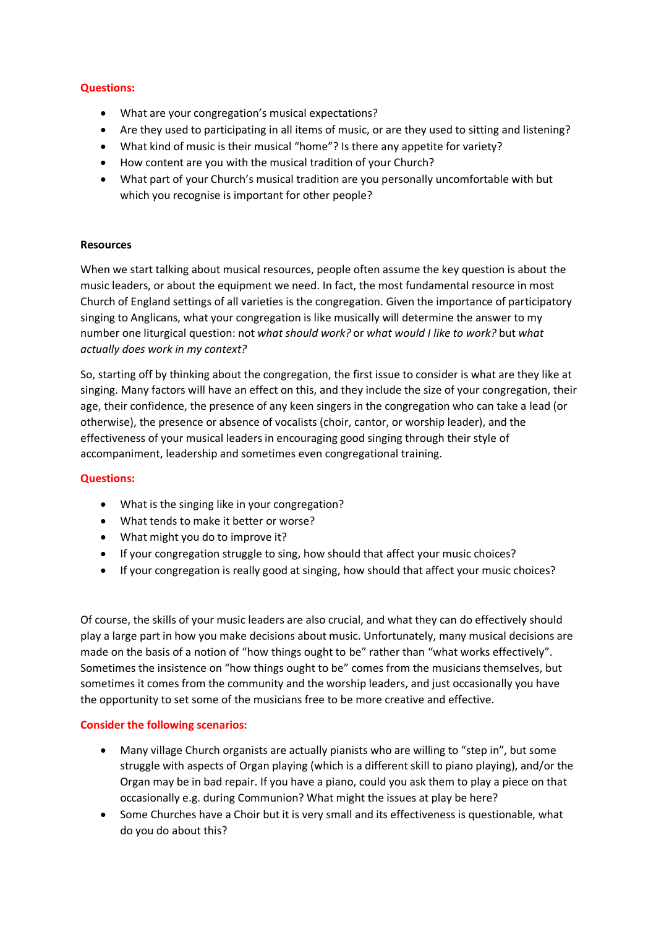## **Questions:**

- What are your congregation's musical expectations?
- Are they used to participating in all items of music, or are they used to sitting and listening?
- What kind of music is their musical "home"? Is there any appetite for variety?
- How content are you with the musical tradition of your Church?
- What part of your Church's musical tradition are you personally uncomfortable with but which you recognise is important for other people?

## **Resources**

When we start talking about musical resources, people often assume the key question is about the music leaders, or about the equipment we need. In fact, the most fundamental resource in most Church of England settings of all varieties is the congregation. Given the importance of participatory singing to Anglicans, what your congregation is like musically will determine the answer to my number one liturgical question: not *what should work?* or *what would I like to work?* but *what actually does work in my context?*

So, starting off by thinking about the congregation, the first issue to consider is what are they like at singing. Many factors will have an effect on this, and they include the size of your congregation, their age, their confidence, the presence of any keen singers in the congregation who can take a lead (or otherwise), the presence or absence of vocalists (choir, cantor, or worship leader), and the effectiveness of your musical leaders in encouraging good singing through their style of accompaniment, leadership and sometimes even congregational training.

#### **Questions:**

- What is the singing like in your congregation?
- What tends to make it better or worse?
- What might you do to improve it?
- If your congregation struggle to sing, how should that affect your music choices?
- If your congregation is really good at singing, how should that affect your music choices?

Of course, the skills of your music leaders are also crucial, and what they can do effectively should play a large part in how you make decisions about music. Unfortunately, many musical decisions are made on the basis of a notion of "how things ought to be" rather than "what works effectively". Sometimes the insistence on "how things ought to be" comes from the musicians themselves, but sometimes it comes from the community and the worship leaders, and just occasionally you have the opportunity to set some of the musicians free to be more creative and effective.

# **Consider the following scenarios:**

- Many village Church organists are actually pianists who are willing to "step in", but some struggle with aspects of Organ playing (which is a different skill to piano playing), and/or the Organ may be in bad repair. If you have a piano, could you ask them to play a piece on that occasionally e.g. during Communion? What might the issues at play be here?
- Some Churches have a Choir but it is very small and its effectiveness is questionable, what do you do about this?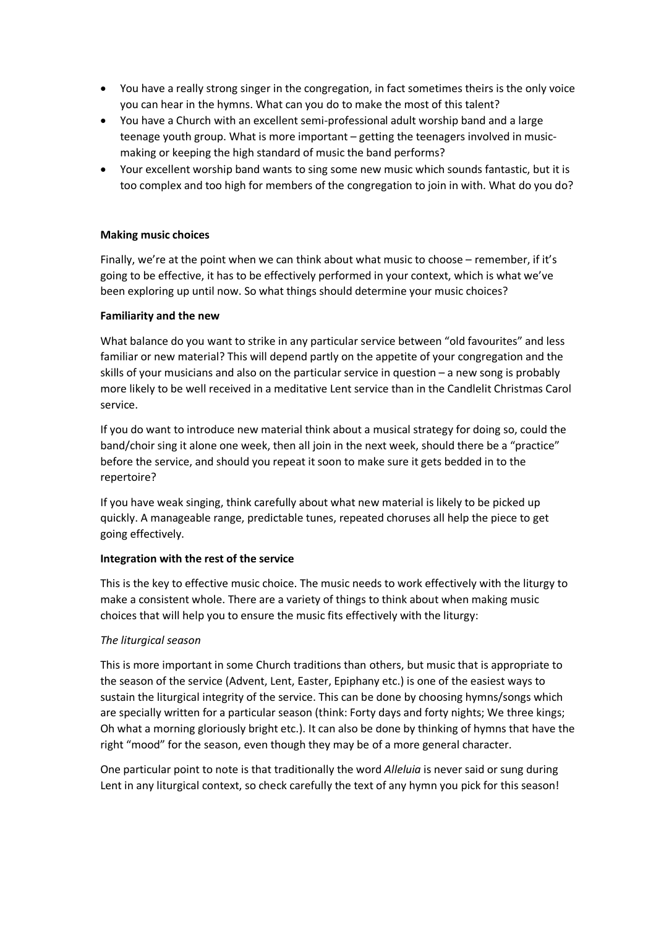- You have a really strong singer in the congregation, in fact sometimes theirs is the only voice you can hear in the hymns. What can you do to make the most of this talent?
- You have a Church with an excellent semi-professional adult worship band and a large teenage youth group. What is more important – getting the teenagers involved in musicmaking or keeping the high standard of music the band performs?
- Your excellent worship band wants to sing some new music which sounds fantastic, but it is too complex and too high for members of the congregation to join in with. What do you do?

## **Making music choices**

Finally, we're at the point when we can think about what music to choose – remember, if it's going to be effective, it has to be effectively performed in your context, which is what we've been exploring up until now. So what things should determine your music choices?

## **Familiarity and the new**

What balance do you want to strike in any particular service between "old favourites" and less familiar or new material? This will depend partly on the appetite of your congregation and the skills of your musicians and also on the particular service in question – a new song is probably more likely to be well received in a meditative Lent service than in the Candlelit Christmas Carol service.

If you do want to introduce new material think about a musical strategy for doing so, could the band/choir sing it alone one week, then all join in the next week, should there be a "practice" before the service, and should you repeat it soon to make sure it gets bedded in to the repertoire?

If you have weak singing, think carefully about what new material is likely to be picked up quickly. A manageable range, predictable tunes, repeated choruses all help the piece to get going effectively.

#### **Integration with the rest of the service**

This is the key to effective music choice. The music needs to work effectively with the liturgy to make a consistent whole. There are a variety of things to think about when making music choices that will help you to ensure the music fits effectively with the liturgy:

# *The liturgical season*

This is more important in some Church traditions than others, but music that is appropriate to the season of the service (Advent, Lent, Easter, Epiphany etc.) is one of the easiest ways to sustain the liturgical integrity of the service. This can be done by choosing hymns/songs which are specially written for a particular season (think: Forty days and forty nights; We three kings; Oh what a morning gloriously bright etc.). It can also be done by thinking of hymns that have the right "mood" for the season, even though they may be of a more general character.

One particular point to note is that traditionally the word *Alleluia* is never said or sung during Lent in any liturgical context, so check carefully the text of any hymn you pick for this season!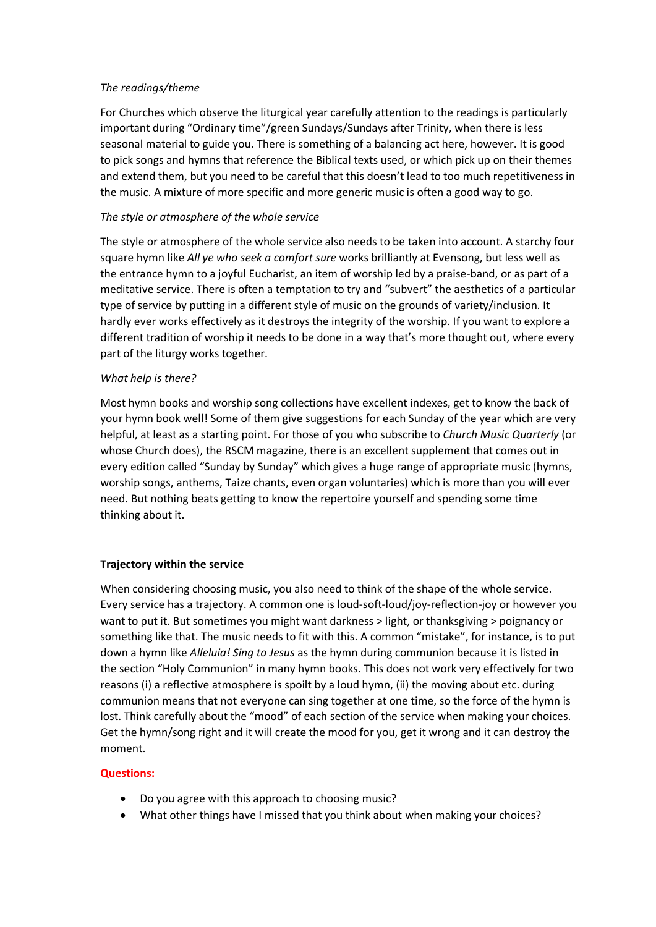### *The readings/theme*

For Churches which observe the liturgical year carefully attention to the readings is particularly important during "Ordinary time"/green Sundays/Sundays after Trinity, when there is less seasonal material to guide you. There is something of a balancing act here, however. It is good to pick songs and hymns that reference the Biblical texts used, or which pick up on their themes and extend them, but you need to be careful that this doesn't lead to too much repetitiveness in the music. A mixture of more specific and more generic music is often a good way to go.

## *The style or atmosphere of the whole service*

The style or atmosphere of the whole service also needs to be taken into account. A starchy four square hymn like *All ye who seek a comfort sure* works brilliantly at Evensong, but less well as the entrance hymn to a joyful Eucharist, an item of worship led by a praise-band, or as part of a meditative service. There is often a temptation to try and "subvert" the aesthetics of a particular type of service by putting in a different style of music on the grounds of variety/inclusion. It hardly ever works effectively as it destroys the integrity of the worship. If you want to explore a different tradition of worship it needs to be done in a way that's more thought out, where every part of the liturgy works together.

## *What help is there?*

Most hymn books and worship song collections have excellent indexes, get to know the back of your hymn book well! Some of them give suggestions for each Sunday of the year which are very helpful, at least as a starting point. For those of you who subscribe to *Church Music Quarterly* (or whose Church does), the RSCM magazine, there is an excellent supplement that comes out in every edition called "Sunday by Sunday" which gives a huge range of appropriate music (hymns, worship songs, anthems, Taize chants, even organ voluntaries) which is more than you will ever need. But nothing beats getting to know the repertoire yourself and spending some time thinking about it.

# **Trajectory within the service**

When considering choosing music, you also need to think of the shape of the whole service. Every service has a trajectory. A common one is loud-soft-loud/joy-reflection-joy or however you want to put it. But sometimes you might want darkness > light, or thanksgiving > poignancy or something like that. The music needs to fit with this. A common "mistake", for instance, is to put down a hymn like *Alleluia! Sing to Jesus* as the hymn during communion because it is listed in the section "Holy Communion" in many hymn books. This does not work very effectively for two reasons (i) a reflective atmosphere is spoilt by a loud hymn, (ii) the moving about etc. during communion means that not everyone can sing together at one time, so the force of the hymn is lost. Think carefully about the "mood" of each section of the service when making your choices. Get the hymn/song right and it will create the mood for you, get it wrong and it can destroy the moment.

#### **Questions:**

- Do you agree with this approach to choosing music?
- What other things have I missed that you think about when making your choices?